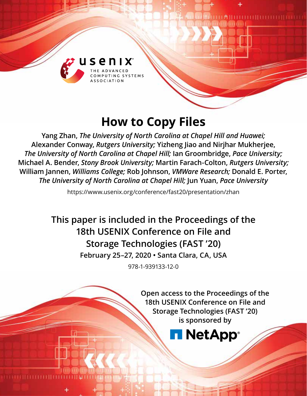

# **How to Copy Files**

**Yang Zhan,** *The University of North Carolina at Chapel Hill and Huawei;*  **Alexander Conway,** *Rutgers University;* **Yizheng Jiao and Nirjhar Mukherjee,**  *The University of North Carolina at Chapel Hill;* **Ian Groombridge,** *Pace University;*  **Michael A. Bender,** *Stony Brook University;* **Martin Farach-Colton,** *Rutgers University;*  **William Jannen,** *Williams College;* **Rob Johnson,** *VMWare Research;* **Donald E. Porter,**  *The University of North Carolina at Chapel Hill;* **Jun Yuan,** *Pace University*

https://www.usenix.org/conference/fast20/presentation/zhan

**This paper is included in the Proceedings of the 18th USENIX Conference on File and Storage Technologies (FAST '20) February 25–27, 2020 • Santa Clara, CA, USA**

978-1-939133-12-0

**Open access to the Proceedings of the 18th USENIX Conference on File and Storage Technologies (FAST '20) is sponsored by**

**NetApp**®

TTI MILITTITTI LIITTITTI LIITTITTI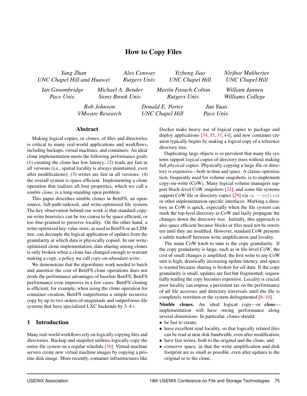# How to Copy Files

| Yang Zhan<br><b>UNC Chapel Hill and Huawei</b> |                                       | Alex Conway<br>Rutgers Univ.           | Yizheng Jiao<br><b>UNC</b> Chapel Hill     |                        | Nirjhar Mukherjee<br><b>UNC</b> Chapel Hill |
|------------------------------------------------|---------------------------------------|----------------------------------------|--------------------------------------------|------------------------|---------------------------------------------|
| Ian Groombridge<br>Pace Univ.                  |                                       | Michael A. Bender<br>Stony Brook Univ. | Martín Farach-Colton<br>Rutgers Univ.      |                        | William Jannen<br>Williams College          |
|                                                | Rob Johnson<br><b>VMware Research</b> |                                        | Donald E. Porter<br><b>UNC Chapel Hill</b> | Jun Yuan<br>Pace Univ. |                                             |

#### Abstract

Making logical copies, or clones, of files and directories is critical to many real-world applications and workflows, including backups, virtual machines, and containers. An ideal clone implementation meets the following performance goals: (1) creating the clone has low latency; (2) reads are fast in all versions (i.e., spatial locality is always maintained, even after modifications); (3) writes are fast in all versions; (4) the overall system is space efficient. Implementing a clone operation that realizes all four properties, which we call a *nimble clone*, is a long-standing open problem.

This paper describes nimble clones in BetrFS, an opensource, full-path-indexed, and write-optimized file system. The key observation behind our work is that standard copyon-write heuristics can be too coarse to be space efficient, or too fine-grained to preserve locality. On the other hand, a write-optimized key-value store, as used in BetrFS or an LSMtree, can decouple the logical application of updates from the granularity at which data is physically copied. In our writeoptimized clone implementation, data sharing among clones is only broken when a clone has changed enough to warrant making a copy, a policy we call *copy-on-abundant-write*.

We demonstrate that the algorithmic work needed to batch and amortize the cost of BetrFS clone operations does not erode the performance advantages of baseline BetrFS; BetrFS performance even improves in a few cases. BetrFS cloning is efficient; for example, when using the clone operation for container creation, BetrFS outperforms a simple recursive copy by up to two orders-of-magnitude and outperforms file systems that have specialized LXC backends by  $3-4 \times$ .

#### 1 Introduction

Many real-world workflows rely on logically copying files and directories. Backup and snapshot utilities logically copy the entire file system on a regular schedule [\[36\]](#page-14-0). Virtual-machine servers create new virtual machine images by copying a pristine disk image. More recently, container infrastructures like

Docker make heavy use of logical copies to package and deploy applications [\[34,](#page-14-1) [35,](#page-14-2) [37,](#page-14-3) [44\]](#page-15-0), and new container creation typically begins by making a logical copy of a reference directory tree.

Duplicating large objects is so prevalent that many file systems support *logical* copies of directory trees without making full *physical* copies. Physically copying a large file or directory is expensive—both in time and space. A classic optimization, frequently used for volume snapshots, is to implement copy-on-write (CoW). Many logical volume managers support block-level CoW snapshots [\[24\]](#page-14-4), and some file systems support CoW file or directory copies  $[29]$  via cp --reflink or other implementation-specific interfaces. Marking a directory as CoW is quick, especially when the file system can mark the top-level directory as CoW and lazily propagate the changes down the directory tree. Initially, this approach is also space efficient because blocks or files need not be rewritten until they are modified. However, standard CoW presents a subtle tradeoff between write amplification and locality.

The main CoW knob to tune is the copy granularity. If the copy granularity is large, such as in file-level CoW, the cost of small changes is amplified; the first write to any CoW unit is high, drastically increasing update latency, and space is wasted because sharing is broken for *all* data. If the copy granularity is small, updates are fast but fragmented; sequentially reading the copy becomes expensive. Locality is crucial: poor locality can impose a persistent tax on the performance of all file accesses and directory traversals until the file is completely rewritten or the system defragmented [\[8](#page-13-0)[–10\]](#page-13-1).

Nimble clones. An ideal logical copy—or *clone* implementation will have strong performance along several dimensions. In particular, clones should:

- be fast to create;
- have excellent read locality, so that logically related files can be read at near disk bandwidth, even after modification;
- have fast writes, both to the original and the clone; and
- conserve space, in that the write amplification and disk footprint are as small as possible, even after updates to the original or to the clone.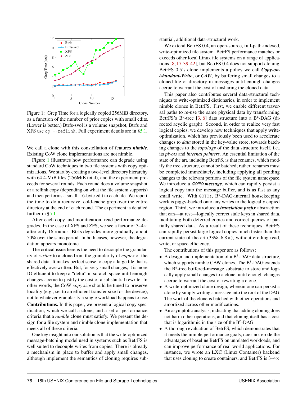<span id="page-2-0"></span>

Figure 1: Grep Time for a logically copied 256MiB directory, as a function of the number of prior copies with small edits. (Lower is better.) Btrfs-svol is a volume snapshot, Btrfs and XFS use  $cp$  --reflink. Full experiment details are in  $\S 5.1$ .

We call a clone with this constellation of features *nimble*. Existing CoW clone implementations are not nimble.

Figure [1](#page-2-0) illustrates how performance can degrade using standard CoW techniques in two file systems with copy optimizations. We start by creating a two-level directory hierarchy with 64 4-MiB files (256MiB total), and the experiment proceeds for several rounds. Each round does a volume snapshot or a reflink copy (depending on what the file system supports) and then performs a small, 16-byte edit to each file. We report the time to do a recursive, cold-cache grep over the entire directory at the end of each round. The experiment is detailed further in [§5.1.](#page-9-0)

After each copy and modification, read performance degrades. In the case of XFS and ZFS, we see a factor of  $3-4\times$ after only 16 rounds. Btrfs degrades more gradually, about 50% over the same period. In both cases, however, the degradation appears monotonic.

The critical issue here is the need to decouple the granularity of *writes* to a clone from the granularity of *copies* of the shared data. It makes perfect sense to copy a large file that is effectively overwritten. But, for very small changes, it is more IO efficient to keep a "delta" in scratch space until enough changes accrue to justify the cost of a substantial rewrite. In other words, the CoW *copy size* should be tuned to preserve locality (e.g., set to an efficient transfer size for the device), not to whatever granularity a single workload happens to use. Contributions. In this paper, we present a logical copy specification, which we call a clone, and a set of performance criteria that a *nimble* clone must satisfy. We present the design for a file system and nimble clone implementation that meets all of these criteria.

One key insight into our solution is that the write-optimized message-batching model used in systems such as BetrFS is well suited to decouple writes from copies. There is already a mechanism in place to buffer and apply small changes, although implement the semantics of cloning requires substantial, additional data-structural work.

We extend BetrFS 0.4, an open-source, full-path-indexed, write-optimized file system. BetrFS performance matches or exceeds other local Linux file systems on a range of applications [\[8,](#page-13-0) [17,](#page-13-2) [39,](#page-14-6) [42\]](#page-15-1), but BetrFS 0.4 does not support cloning. BetrFS 0.5's clone implements a policy we call *Copy-on-Abundant-Write*, or *CAW*, by buffering small changes to a cloned file or directory in messages until enough changes accrue to warrant the cost of unsharing the cloned data.

This paper also contributes several data-structural techniques to write-optimized dictionaries, in order to implement nimble clones in BetrFS. First, we enable different traversal paths to re-use the same physical data by transforming BetrFS's  $B^{\epsilon}$ -tree [\[3,](#page-13-3) [6\]](#page-13-4) data structure into a  $B^{\epsilon}$ -DAG (directed acyclic graph). Second, in order to realize very fast logical copies, we develop new techniques that apply writeoptimization, which has previously been used to accelerate changes to *data* stored in the key-value store, towards batching changes to the *topology* of the data structure itself, i.e., its *pivots* and *internal pointers*. An essential limitation of the state of the art, including BetrFS, is that renames, which modify the tree structure, cannot be batched; rather, renames must be completed immediately, including applying all pending changes to the relevant portions of the file system namespace. We introduce a **GOTO** *message*, which can rapidly persist a logical copy into the message buffer, and is as fast as any small write. With GOTOs,  $B^{\epsilon}$ -DAG-internal housekeeping work is piggy-backed onto any writes to the logically copied region. Third, we introduce a *translation prefix* abstraction that can—at rest—logically correct stale keys in shared data, facilitating both deferred copies and correct queries of partially shared data. As a result of these techniques, BetrFS can rapidly persist large logical copies much faster than the current state of the art  $(33\% - 6.8 \times)$ , without eroding read, write, or space efficiency.

The contributions of this paper are as follows:

- A design and implementation of a  $B^{\epsilon}$ -DAG data structure, which supports nimble CAW clones. The  $B^{\epsilon}$ -DAG extends the  $B^{\epsilon}$ -tree buffered-message substrate to store and logically apply small changes to a clone, until enough changes accrue to warrant the cost of rewriting a clone.
- A write-optimized clone design, wherein one can persist a clone by simply writing a message into the root of the DAG. The work of the clone is batched with other operations and amortized across other modifications.
- An asymptotic analysis, indicating that adding cloning does not harm other operations, and that cloning itself has a cost that is logarithmic in the size of the  $B^{\epsilon}$ -DAG.
- A thorough evaluation of BetrFS, which demonstrates that it meets the nimble performance goals, does not erode the advantages of baseline BetrFS on unrelated workloads, and can improve performance of real-world applications. For instance, we wrote an LXC (Linux Container) backend that uses cloning to create containers, and BetrFS is  $3-4\times$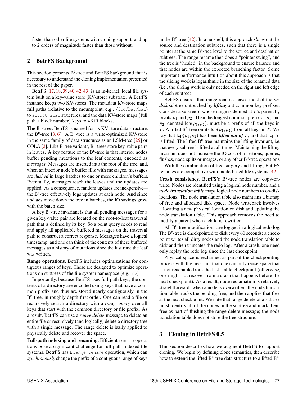faster than other file systems with cloning support, and up to 2 orders of magnitude faster than those without.

## 2 BetrFS Background

This section presents  $B^{\epsilon}$ -tree and BetrFS background that is necessary to understand the cloning implementation presented in the rest of the paper.

BetrFS [\[17,](#page-13-2) [18,](#page-13-5) [39,](#page-14-6) [40,](#page-14-7) [42,](#page-15-1) [43\]](#page-15-2) is an in-kernel, local file system built on a key-value store (KV-store) substrate. A BetrFS instance keeps two KV-stores. The metadata KV-store maps full paths (relative to the mountpoint, e.g., /foo/bar/baz) to struct stat structures, and the data KV-store maps {full path + block number} keys to 4KiB blocks.

The  $B^{\epsilon}$ -tree. BetrFS is named for its KV-store data structure, the B<sup> $\epsilon$ </sup>-tree [\[3,](#page-13-3) [6\]](#page-13-4). A B<sup> $\epsilon$ </sup>-tree is a write-optimized KV-store in the same family of data structures as an LSM-tree [\[25\]](#page-14-8) or COLA [\[2\]](#page-13-6). Like B-tree variants,  $B^{\epsilon}$ -trees store key-value pairs in leaves. A key feature of the  $B^{\epsilon}$ -tree is that interior nodes buffer pending mutations to the leaf contents, encoded as *messages*. Messages are inserted into the root of the tree, and, when an interior node's buffer fills with messages, messages are *flushed* in large batches to one or more children's buffers. Eventually, messages reach the leaves and the updates are applied. As a consequence, random updates are inexpensive the  $B^{\epsilon}$ -tree effectively logs updates at each node. And since updates move down the tree in batches, the IO savings grow with the batch size.

A key  $B^{\epsilon}$ -tree invariant is that all pending messages for a given key-value pair are located on the root-to-leaf traversal path that is defined by its key. So a point query needs to read and apply all applicable buffered messages on the traversal path to construct a correct response. Messages have a logical timestamp, and one can think of the contents of these buffered messages as a history of mutations since the last time the leaf was written.

Range operations. BetrFS includes optimizations for contiguous ranges of keys. These are designed to optimize operations on subtrees of the file system namespace (e.g., mv).

Importantly, because BetrFS uses full-path keys, the contents of a directory are encoded using keys that have a common prefix and thus are stored nearly contiguously in the  $B^{\epsilon}$ -tree, in roughly depth-first order. One can read a file or recursively search a directory with a *range query* over all keys that start with the common directory or file prefix. As a result, BetrFS can use a *range delete* message to delete an entire file or recursively (and logically) delete a directory tree with a single message. The range delete is lazily applied to physically delete and recover the space.

Full-path indexing and renaming. Efficient rename operations pose a significant challenge for full-path-indexed file systems. BetrFS has a range rename operation, which can *synchronously* change the prefix of a contiguous range of keys

in the  $B^{\epsilon}$ -tree [\[42\]](#page-15-1). In a nutshell, this approach *slices* out the source and destination subtrees, such that there is a single pointer at the same  $B^{\epsilon}$ -tree level to the source and destination subtrees. The range rename then does a "pointer swing", and the tree is "healed" in the background to ensure balance and that nodes are within the expected branching factor. Some important performance intuition about this approach is that the slicing work is logarithmic in the size of the renamed data (i.e., the slicing work is only needed on the right and left edge of each subtree).

BetrFS ensures that range rename leaves most of the *ondisk* subtree untouched by *lifting* out common key prefixes. Consider a subtree *T* whose range is defined at *T*'s parent by pivots  $p_1$  and  $p_2$ . Then the longest common prefix of  $p_1$  and  $p_2$ , denoted  $\text{lcp}(p_1, p_2)$ , must be a prefix of all the keys in *T*. A lifted B<sup> $\varepsilon$ </sup>-tree omits lcp( $p_1, p_2$ ) from all keys in *T*. We say that  $\text{lcp}(p_1, p_2)$  has been *lifted out of T*, and that  $\text{lcp-}T$ is lifted. The lifted  $B^{\epsilon}$ -tree maintains the lifting invariant, i.e. that every subtree is lifted at all times. Maintaining the lifting invariant does not increase the IO cost of insertions, queries, flushes, node splits or merges, or any other  $B^{\epsilon}$ -tree operations.

With the combination of tree surgery and lifting, BetrFS renames are competitive with inode-based file systems [\[42\]](#page-15-1).

Crash consistency. BetrFS's  $B^{\epsilon}$ -tree nodes are copy-onwrite. Nodes are identified using a logical node number, and a *node translation table* maps logical node numbers to on-disk locations. The node translation table also maintains a bitmap of free and allocated disk space. Node writeback involves allocating a new physical location on disk and updating the node translation table. This approach removes the need to modify a parent when a child is rewritten.

All  $B^{\epsilon}$ -tree modifications are logged in a logical redo log. The  $B^{\epsilon}$ -tree is checkpointed to disk every 60 seconds; a checkpoint writes all dirty nodes and the node translation table to disk and then truncates the redo log. After a crash, one need only replay the redo log since the last checkpoint.

Physical space is reclaimed as part of the checkpointing process with the invariant that one can only reuse space that is not reachable from the last stable checkpoint (otherwise, one might not recover from a crash that happens before the next checkpoint). As a result, node reclamation is relatively straightforward: when a node is overwritten, the node translation table tracks the pending free, and then applies that free at the next checkpoint. We note that range delete of a subtree must identify all of the nodes in the subtree and mark them free as part of flushing the range delete message; the node translation table does not store the tree structure.

# 3 Cloning in BetrFS 0.5

This section describes how we augment BetrFS to support cloning. We begin by defining clone semantics, then describe how to extend the lifted B<sup> $\epsilon$ </sup>-tree data structure to a lifted B $\epsilon$ -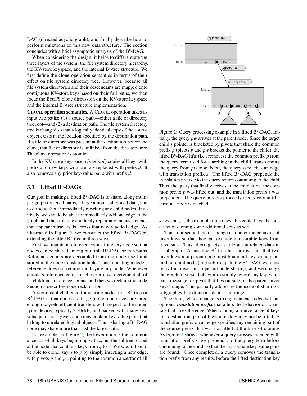DAG (directed acyclic graph), and finally describe how to perform mutations on this new data structure. The section concludes with a brief asymptotic analysis of the  $B^{\epsilon}$ -DAG.

When considering the design, it helps to differentiate the three layers of the system: the file system directory hierarchy, the KV-store keyspace, and the internal  $B^{\epsilon}$ -tree structure. We first define the clone operation semantics in terms of their effect on file system directory tree. However, because all file system directories and their descendants are mapped onto contiguous KV-store keys based on their full paths, we then focus the BetrFS clone discussion on the KV-store keyspace and the internal  $B^{\epsilon}$ -tree structure implementation.

CLONE operation semantics. A CLONE operation takes as input two paths: (1) a source path—either a file or directory tree root—and (2) a destination path. The file system directory tree is changed so that a logically identical copy of the source object exists at the location specified by the destination path. If a file or directory was present at the destination before the clone, that file or directory is unlinked from the directory tree. The clone operation is atomic.

In the KV-store keyspace, *clone*(*s*,*d*) copies all keys with prefix *s* to new keys with prefix *s* replaced with prefix *d*. It also removes any prior key-value pairs with prefix *d*.

# 3.1 Lifted  $B^{\epsilon}$ -DAGs

Our goal in making a lifted  $B^{\epsilon}$ -DAG is to share, along multiple graph traversal paths, a large amount of cloned data, and to do so without immediately rewriting any child nodes. Intuitively, we should be able to immediately add one edge to the graph, and then tolerate and lazily repair any inconsistencies that appear in traversals across that newly added edge. As illustrated in Figure [2,](#page-4-0) we construct the lifted  $B^{\epsilon}$ -DAG by extending the lifted  $B^{\epsilon}$ -tree in three ways.

First, we maintain reference counts for every node so that nodes can be shared among multiple  $B^{\epsilon}$ -DAG search paths. Reference counts are decoupled from the node itself and stored in the node translation table. Thus, updating a node's reference does not require modifying any node. Whenever a node's reference count reaches zero, we decrement all of its children's reference counts, and then we reclaim the node. Section [4](#page-8-0) describes node reclamation.

A significant challenge for sharing nodes in a  $B^{\epsilon}$ -tree or  $B^{\epsilon}$ -DAG is that nodes are large (target node sizes are large enough to yield efficient transfers with respect to the underlying device, typically 2–4MiB) and packed with many keyvalue pairs, so a given node may contain key-value pairs that belong to unrelated logical objects. Thus, sharing a  $B^{\epsilon}$ -DAG node may share more than just the target data.

For example, in Figure [2,](#page-4-0) the lower node is the common ancestor of all keys beginning with *s*, but the subtree rooted at the node also contains keys from *q* to *v*. We would like to be able to clone, say, *s* to *p* by simply inserting a new edge, with pivots *p* and *pz*, pointing to the common ancestor of all

<span id="page-4-0"></span>

Figure 2: Query processing example in a lifted  $B^{\epsilon}$ -DAG. Initially, the query *pw* arrives at the parent node. Since the target child's pointer is bracketed by pivots that share the common prefix *p* (pivots *p* and *pw* bracket the pointer to the child), the lifted  $B^{\epsilon}$ -DAG lifts (i.e., removes) the common prefix  $p$  from the query term used for searching in the child, transforming the query from *pw* to *w*. Next, the query *w* reaches an edge with translation prefix *s*. The lifted B<sup>ε</sup>-DAG prepends the translation prefix *s* to the query before continuing to the child. Thus, the query that finally arrives at the child is *sw*: the common prefix *p* was lifted out, and the translation prefix *s* was prepended. The query process proceeds recursively until a terminal node is reached.

*s* keys but, as the example illustrates, this could have the side effect of cloning some additional keys as well.

Thus, our second major change is to alter the behavior of pivot keys so that they can exclude undesirable keys from traversals. This filtering lets us tolerate unrelated data in a subgraph. A baseline  $B^{\epsilon}$ -tree has an invariant that two pivot keys in a parent node must bound all key-value pairs in their child node (and sub-tree). In the  $B^{\epsilon}$ -DAG, we must relax this invariant to permit node sharing, and we change the graph traversal behavior to simply ignore any key-value pair, message, or pivot that lies outside of the parent pivot keys' range. This partially addresses the issue of sharing a subgraph with extraneous data at its fringe.

The third, related change is to augment each edge with an optional *translation prefix* that alters the behavior of traversals that cross the edge. When cloning a source range of keys to a destination, part of the source key may not be lifted. A translation prefix on an edge specifies any remaining part of the source prefix that was not lifted at the time of cloning. As Figure [2](#page-4-0) shows, whenever a query crosses an edge with translation prefix *s*, we prepend *s* to the query term before continuing to the child, so that the appropriate key-value pairs are found. Once completed, a query removes the translation prefix from any results, before the lifted destination key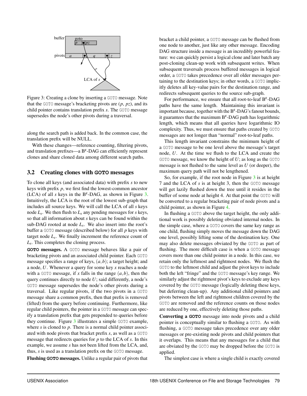<span id="page-5-0"></span>

Figure 3: Creating a clone by inserting a GOTO message. Note that the GOTO message's bracketing pivots are (*p*, *pz*), and its child pointer contains translation prefix *s*. The GOTO message supersedes the node's other pivots during a traversal.

along the search path is added back. In the common case, the translation prefix will be NULL.

With these changes—reference counting, filtering pivots, and translation prefixes—a  $B^{\epsilon}$ -DAG can efficiently represent clones and share cloned data among different search paths.

#### 3.2 Creating clones with **GOTO** messages

To clone all keys (and associated data) with prefix *s* to new keys with prefix *p*, we first find the lowest-common ancestor (LCA) of all *s* keys in the  $B^{\epsilon}$ -DAG, as shown in Figure [3.](#page-5-0) Intuitively, the LCA is the root of the lowest sub-graph that includes all source keys. We will call the LCA of all *s* keys node *L<sup>s</sup>* . We then flush to *L<sup>s</sup>* any pending messages for *s* keys, so that all information about *s* keys can be found within the sub-DAG rooted at node  $L<sub>s</sub>$ . We also insert into the root's buffer a GOTO message (described below) for all *p* keys with target node *L<sup>s</sup>* . We finally increment the reference count of *Ls* . This completes the cloning process.

**GOTO** messages. A GOTO message behaves like a pair of bracketing pivots and an associated child pointer. Each GOTO message specifies a range of keys, (*a*,*b*); a target height; and a node, *U*. Whenever a query for some key *x* reaches a node with a GOTO message, if *x* falls in the range  $(a, b)$ , then the query continues directly to node *U*; said differently, a node's GOTO message supersedes the node's other pivots during a traversal. Like regular pivots, if the two pivots in a GOTO message share a common prefix, then that prefix is removed (lifted) from the query before continuing. Furthermore, like regular child pointers, the pointer in a GOTO message can specify a translation prefix that gets prepended to queries before they continue. Figure [3](#page-5-0) illustrates a simple GOTO example, where *s* is cloned to *p*. There is a normal child pointer associated with node pivots that bracket prefix *s*, as well as a GOTO message that redirects queries for *p* to the LCA of *s*. In this example, we assume *s* has not been lifted from the LCA, and, thus, *s* is used as a translation prefix on the GOTO message.

Flushing **GOTO** messages. Unlike a regular pair of pivots that

bracket a child pointer, a GOTO message can be flushed from one node to another, just like any other message. Encoding DAG structure inside a message is an incredibly powerful feature: we can quickly persist a logical clone and later batch any post-cloning clean-up work with subsequent writes. When subsequent traversals process buffered messages in logical order, a GOTO takes precedence over all older messages pertaining to the destination keys; in other words, a GOTO implicitly deletes all key-value pairs for the destination range, and redirects subsequent queries to the source sub-graph.

For performance, we ensure that all root-to-leaf  $B^{\epsilon}$ -DAG paths have the same length. Maintaining this invariant is important because, together with the  $B^{\epsilon}$ -DAG's fanout bounds, it guarantees that the maximum  $B^{\epsilon}$ -DAG path has logarithmic length, which means that all queries have logarithmic IO complexity. Thus, we must ensure that paths created by GOTO messages are not longer than "normal" root-to-leaf paths.

This length invariant constrains the minimum height of a GOTO message to be one level above the message's target node, *U*. At the time we flush to the LCA and create the GOTO message, we know the height of *U*; as long as the GOTO message is not flushed to the same level as *U* (or deeper), the maximum query path will not be lengthened.

So, for example, if the root node in Figure [3](#page-5-0) is at height 7 and the LCA of *s* is at height 3, then the GOTO message will get lazily flushed down the tree until it resides in the buffer of some node at height 4. At that point the GOTO will be converted to a regular bracketing pair of node pivots and a child pointer, as shown in Figure [4.](#page-6-0)

In flushing a GOTO above the target height, the only additional work is possibly deleting obviated internal nodes. In the simple case, where a GOTO covers the same key range as one child, flushing simply moves the message down the DAG one level, possibly lifting some of the destination key. One may also delete messages obviated by the GOTO as part of flushing. The more difficult case is when a GOTO message covers more than one child pointer in a node. In this case, we retain only the leftmost and rightmost nodes. We flush the GOTO to the leftmost child and adjust the pivot keys to include both the left "fringe" and the GOTO message's key range. We similarly adjust the rightmost pivot's keys to exclude any keys covered by the GOTO message (logically deleting these keys, but deferring clean-up). Any additional child pointers and pivots between the left and rightmost children covered by the GOTO are removed and the reference counts on those nodes are reduced by one, effectively deleting those paths.

Converting a **GOTO** message into node pivots and a child pointer is conceptually similar to flushing a GOTO. As with flushing, a GOTO message takes precedence over any older messages or pre-existing node pivots and child pointers that it overlaps. This means that any messages for a child that are obviated by the GOTO may be dropped before the GOTO is applied.

The simplest case is where a single child is exactly covered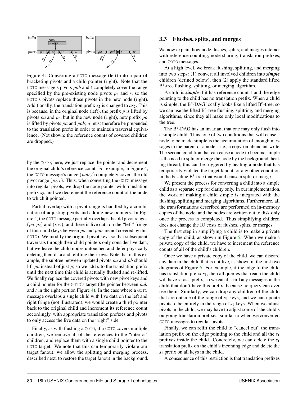<span id="page-6-0"></span>

Figure 4: Converting a GOTO message (left) into a pair of bracketing pivots and a child pointer (right). Note that the GOTO message's pivots *pab* and *t* completely cover the range specified by the pre-existing node pivots *pz* and *r*, so the GOTO's pivots replace those pivots in the new node (right). Additionally, the translation prefix  $s_2$  is changed to  $as_2$ . This is because, in the original node (left), the prefix  $p$  is lifted by pivots *pa* and *pz*, but in the new node (right), new prefix *pa* is lifted by pivots *pa* and *pab*; *a* must therefore be prepended to the translation prefix in order to maintain traversal equivalence. (Not shown: the reference counts of covered children are dropped.)

by the GOTO; here, we just replace the pointer and decrement the original child's reference count. For example, in Figure [4,](#page-6-0) the GOTO message's range (*pab*,*t*) completely covers the old pivot range  $(pz, r)$ . Thus, when converting the GOTO message into regular pivots, we drop the node pointer with translation prefix *s*3, and we decrement the reference count of the node to which it pointed.

Partial overlap with a pivot range is handled by a combination of adjusting pivots and adding new pointers. In Figure [4,](#page-6-0) the GOTO message partially overlaps the old pivot ranges  $(pa, pz)$  and  $(r, w)$ , and there is live data on the "left" fringe of this child (keys between *pa* and *pab* are not covered by this GOTO). We modify the original pivot keys so that subsequent traversals through their child pointers only consider live data, but we leave the child nodes untouched and defer physically deleting their data and relifting their keys. Note that in this example, the subtree between updated pivots *pa* and *pb* should lift *pa* instead of just *p*, so we add *a* to the translation prefix until the next time this child is actually flushed and re-lifted. We finally replace the covered pivots with new pivot keys and a child pointer for the GOTO's target (the pointer between *pab* and  $t$  in the right portion Figure [4\)](#page-6-0). In the case where a  $GOTO$ message overlaps a single child with live data on the left and right fringe (not illustrated), we would create a third pointer back to the original child and increment its reference count accordingly, with appropriate translation prefixes and pivots to only access the live data on the "right" side.

Finally, as with flushing a GOTO, if a GOTO covers multiple children, we remove all of the references to the "interior" children, and replace them with a single child pointer to the GOTO target. We note that this can temporarily violate our target fanout; we allow the splitting and merging process, described next, to restore the target fanout in the background.

#### 3.3 Flushes, splits, and merges

We now explain how node flushes, splits, and merges interact with reference counting, node sharing, translation prefixes, and GOTO messages.

At a high level, we break flushing, splitting, and merging into two steps: (1) convert all involved children into *simple* children (defined below), then (2) apply the standard lifted  $B^{\epsilon}$ -tree flushing, splitting, or merging algorithm.

A child is *simple* if it has reference count 1 and the edge pointing to the child has no translation prefix. When a child is simple, the  $B^{\epsilon}$ -DAG locally looks like a lifted  $B^{\epsilon}$ -tree, so we can use the lifted  $B^{\epsilon}$ -tree flushing, splitting, and merging algorithms, since they all make only local modifications to the tree.

The  $B^{\epsilon}$ -DAG has an invariant that one may only flush into a simple child. Thus, one of two conditions that will cause a node to be made simple is the accumulation of enough messages in the parent of a node—i.e., a copy-on-abundant-write. The second condition that can cause a node to become simple is the need to split or merge the node by the background, healing thread; this can be triggered by healing a node that has temporarily violated the target fanout, or any other condition in the baseline  $B^{\epsilon}$ -tree that would cause a split or merge.

We present the process for converting a child into a simple child as a separate step for clarity only. In our implementation, the work of making a child simple is integrated with the flushing, splitting and merging algorithms. Furthermore, all the transformations described are performed on in-memory copies of the node, and the nodes are written out to disk only once the process is completed. Thus simplifying children does not change the IO costs of flushes, splits, or merges.

The first step in simplifying a child is to make a private copy of the child, as shown in Figure [5.](#page-7-0) When we make a private copy of the child, we have to increment the reference counts of all of the child's children.

Once we have a private copy of the child, we can discard any data in the child that is not live, as shown in the first two diagrams of Figure [6.](#page-7-1) For example, if the edge to the child has translation prefix *s*1, then all queries that reach the child will have  $s_1$  as a prefix, so we can discard any messages in the child that don't have this prefix, because no query can ever see them. Similarly, we can drop any children of the child that are outside of the range of *s*<sup>1</sup> keys, and we can update pivots to be entirely in the range of *s*<sup>1</sup> keys. When we adjust pivots in the child, we may have to adjust some of the child's outgoing translation prefixes, similar to when we converted GOTO messages to regular pivots.

Finally, we can relift the child to "cancel out" the translation prefix on the edge pointing to the child and all the *s*<sup>1</sup> prefixes inside the child. Concretely, we can delete the *s*<sup>1</sup> translation prefix on the child's incoming edge and delete the *s*<sup>1</sup> prefix on all keys in the child.

A consequence of this restriction is that translation prefixes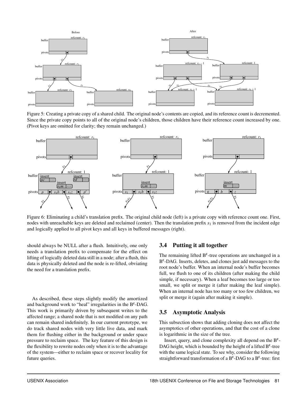<span id="page-7-0"></span>

Figure 5: Creating a private copy of a shared child. The original node's contents are copied, and its reference count is decremented. Since the private copy points to all of the original node's children, those children have their reference count increased by one. (Pivot keys are omitted for clarity; they remain unchanged.)

<span id="page-7-1"></span>

Figure 6: Eliminating a child's translation prefix. The original child node (left) is a private copy with reference count one. First, nodes with unreachable keys are deleted and reclaimed (center). Then the translation prefix *s*<sup>1</sup> is removed from the incident edge and logically applied to all pivot keys and all keys in buffered messages (right).

should always be NULL after a flush. Intuitively, one only needs a translation prefix to compensate for the effect on lifting of logically deleted data still in a node; after a flush, this data is physically deleted and the node is re-lifted, obviating the need for a translation prefix.

As described, these steps slightly modify the amortized and background work to "heal" irregularities in the  $B^{\epsilon}$ -DAG. This work is primarily driven by subsequent writes to the affected range; a shared node that is not modified on any path can remain shared indefinitely. In our current prototype, we do track shared nodes with very little live data, and mark them for flushing either in the background or under space pressure to reclaim space. The key feature of this design is the flexibility to rewrite nodes only when it is to the advantage of the system—either to reclaim space or recover locality for future queries.

#### 3.4 Putting it all together

The remaining lifted  $B^{\epsilon}$ -tree operations are unchanged in a B ε -DAG. Inserts, deletes, and clones just add messages to the root node's buffer. When an internal node's buffer becomes full, we flush to one of its children (after making the child simple, if necessary). When a leaf becomes too large or too small, we split or merge it (after making the leaf simple). When an internal node has too many or too few children, we split or merge it (again after making it simple).

#### 3.5 Asymptotic Analysis

This subsection shows that adding cloning does not affect the asymptotics of other operations, and that the cost of a clone is logarithmic in the size of the tree.

Insert, query, and clone complexity all depend on the  $B^{\epsilon}$ -DAG height, which is bounded by the height of a lifted  $B^{\epsilon}$ -tree with the same logical state. To see why, consider the following straightforward transformation of a  $B^{\epsilon}$ -DAG to a  $B^{\epsilon}$ -tree: first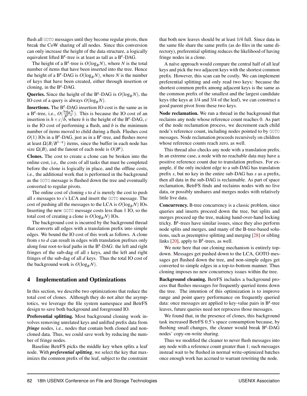flush all GOTO messages until they become regular pivots, then break the CoW sharing of all nodes. Since this conversion can only increase the height of the data structure, a logically equivalent lifted  $B^{\epsilon}$ -tree is at least as tall as a  $B^{\epsilon}$ -DAG.

The height of a B<sup> $\varepsilon$ </sup>-tree is  $O(\log_B N)$ , where *N* is the total number of items that have been inserted into the tree. Hence the height of a  $B^{\varepsilon}$ -DAG is  $O(log_B N)$ , where *N* is the number of keys that have been created, either through insertion or cloning, in the  $B^{\varepsilon}$ -DAG.

**Queries.** Since the height of the  $B^{\varepsilon}$ -DAG is  $O(log_B N)$ , the IO cost of a query is always  $O(\log_B N)$ .

**Insertions.** The  $B^{\epsilon}$ -DAG insertion IO cost is the same as in a B<sup>ε</sup>-tree, i.e.,  $O(\frac{\log_B N}{B^{1-\epsilon}})$ . This is because the IO cost of an insertion is  $h \times c/b$ , where *h* is the height of the B<sup>ε</sup>-DAG, *c* is the IO cost of performing a flush, and *b* is the minimum number of items moved to child during a flush. Flushes cost  $O(1)$  IOs in a B<sup> $\epsilon$ </sup>-DAG, just as in a B<sup> $\epsilon$ </sup>-tree, and flushes move at least  $\Omega(B/B^{1-\epsilon})$  items, since the buffer in each node has size  $\Omega(B)$ , and the fanout of each node is  $O(B^{\varepsilon})$ .

Clones. The cost to create a clone can be broken into the online cost, i.e,. the costs of all tasks that must be completed before the clone is logically in place, and the offline costs, i.e., the additional work that is performed in the background as the GOTO message is flushed down the tree and eventually converted to regular pivots.

The online cost of cloning *s* to *d* is merely the cost to push all *s* messages to *s*'s LCA and insert the GOTO message. The cost of pushing all the messages to the LCA is  $O(log_B N)$  IOs. Inserting the new GOTO message costs less than 1 IO, so the total cost of creating a clone is  $O(\log_B N)$  IOs.

The background cost is incurred by the background thread that converts all edges with a translation prefix into simple edges. We bound the IO cost of this work as follows. A clone from *s* to *d* can result in edges with translation prefixes only along four root-to-leaf paths in the  $B^{\epsilon}$ -DAG: the left and right fringes of the sub-dag of all *s* keys, and the left and right fringes of the sub-dag of all *d* keys. Thus the total IO cost of the background work is  $O(log_B N)$ .

#### <span id="page-8-0"></span>4 Implementation and Optimizations

In this section, we describe two optimizations that reduce the total cost of clones. Although they do not alter the asymptotics, we leverage the file system namespace and BetrFS design to save both background and foreground IO.

Preferential splitting. Most background cloning work involves removing unrelated keys and unlifted prefix data from *fringe* nodes, *i.e.*, nodes that contain both cloned and noncloned data. Thus, we could save work by reducing the number of fringe nodes.

Baseline BetrFS picks the middle key when splits a leaf node. With *preferential splitting*, we select the key that maximizes the common prefix of the leaf, subject to the constraint

that both new leaves should be at least 1/4 full. Since data in the same file share the same prefix (as do files in the same directory), preferential splitting reduces the likelihood of having fringe nodes in a clone.

A naïve approach would compare the central half of all leaf keys and pick the two adjacent keys with the shortest common prefix. However, this scan can be costly. We can implement preferential splitting and only read two keys: because the shortest common prefix among adjacent keys is the same as the common prefix of the smallest and the largest candidate keys (the keys at 1/4 and 3/4 of the leaf), we can construct a good parent pivot from these two keys.

Node reclamation. We run a thread in the background that reclaims any node whose reference count reaches 0. As part of the node reclamation process, we decrement each child node's reference count, including nodes pointed to by GOTO messages. Node reclamation proceeds recursively on children whose reference counts reach zero, as well.

This thread also checks any node with a translation prefix. In an extreme case, a node with no reachable data may have a positive reference count due to translation prefixes. For example, if the only incident edge to a sub-DAG has translation prefix *s*, but no key in the entire sub-DAG has *s* as a prefix, then all data in the sub-DAG is reclaimable. As part of space reclamation, BetrFS finds and reclaims nodes with no live data, or possibly unshares and merges nodes with relatively little live data.

Concurrency. B-tree concurrency is a classic problem, since queries and inserts proceed down the tree, but splits and merges proceed up the tree, making hand-over-hand locking tricky. B<sup> $\varepsilon$ </sup>-trees have similar issues, since they also perform node splits and merges, and many of the B-tree-based solutions, such as preemptive splitting and merging [\[28\]](#page-14-9) or sibling links [\[20\]](#page-13-7), apply to  $B^{\epsilon}$ -trees, as well.

We note here that our cloning mechanism is entirely topdown. Messages get pushed down to the LCA, GOTO messages get flushed down the tree, and non-simple edges get converted to simple edges in a top-to-bottom manner. Thus cloning imposes no new concurrency issues within the tree.

Background cleaning. BetrFS includes a background process that flushes messages for frequently queried items down the tree. The intention of this optimization is to improve range and point query performance on frequently queried data: once messages are applied to key-value pairs in  $B^{\epsilon}$ -tree leaves, future queries need not reprocess those messages.

We found that, in the presence of clones, this background task increased BetrFS 0.5's space consumption because, by flushing small changes, the cleaner would break  $B^{\epsilon}$ -DAG nodes' copy-on-write sharing.

Thus we modified the cleaner to never flush messages into any node with a reference count greater than 1; such messages instead wait to be flushed in normal write-optimized batches once enough work has accrued to warrant rewriting the node.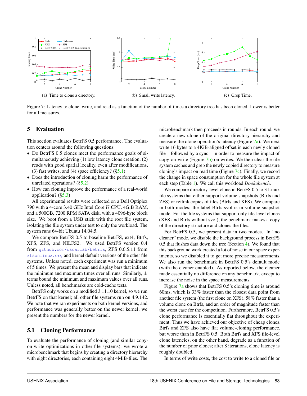<span id="page-9-1"></span>

Figure 7: Latency to clone, write, and read as a function of the number of times a directory tree has been cloned. Lower is better for all measures.

#### 5 Evaluation

This section evaluates BetrFS 0.5 performance. The evaluation centers around the following questions:

- Do BetrFS 0.5 clones meet the performance goals of simultaneously achieving (1) low latency clone creation, (2) reads with good spatial locality, even after modifications, (3) fast writes, and (4) space efficiency?  $(\S 5.1)$
- Does the introduction of cloning harm the performance of unrelated operations? ([§5.2\)](#page-10-0)
- How can cloning improve the performance of a real-world application?  $(\S5.3)$

All experimental results were collected on a Dell Optiplex 790 with a 4-core 3.40 GHz Intel Core i7 CPU, 4GiB RAM, and a 500GB, 7200 RPM SATA disk, with a 4096-byte block size. We boot from a USB stick with the root file system, isolating the file system under test to only the workload. The system runs 64-bit Ubuntu 14.04.5.

We compare BetrFS 0.5 to baseline BetrFS, ext4, Btrfs, XFS, ZFS, and NILFS2. We used BetrFS version 0.4 from <github.com/oscarlab/betrfs>, ZFS 0.6.5.11 from <zfsonlinux.org> and kernel default versions of the other file systems. Unless noted, each experiment was run a minimum of 5 times. We present the mean and display bars that indicate the minimum and maximum times over all runs. Similarly,  $\pm$ terms bound the minimum and maximum values over all runs. Unless noted, all benchmarks are cold-cache tests.

BetrFS only works on a modified 3.11.10 kernel, so we run BetrFS on that kernel; all other file systems run on 4.9.142. We note that we ran experiments on both kernel versions, and performance was generally better on the newer kernel; we present the numbers for the newer kernel.

## <span id="page-9-0"></span>5.1 Cloning Performance

To evaluate the performance of cloning (and similar copyon-write optimizations in other file systems), we wrote a microbenchmark that begins by creating a directory hierarchy with eight directories, each containing eight 4MiB-files. The

microbenchmark then proceeds in rounds. In each round, we create a new clone of the original directory hierarchy and measure the clone operation's latency (Figure [7a\)](#page-9-1). We next write 16 bytes to a 4KiB-aligned offset in each newly cloned file—followed by a sync—in order to measure the impact of copy-on-write (Figure  $7b$ ) on writes. We then clear the file system caches and grep the newly copied directory to measure cloning's impact on read time (Figure [7c\)](#page-9-1). Finally, we record the change in space consumption for the whole file system at each step (Table [1\)](#page-10-1). We call this workload *Dookubench*.

We compare directory-level clone in BetrFS 0.5 to 3 Linux file systems that either support volume snapshots (Btrfs and ZFS) or reflink copies of files (Btrfs and XFS). We compare in both modes; the label Btrfs-svol is in volume-snapshot mode. For the file systems that support only file-level clones (XFS and Btrfs without svol), the benchmark makes a copy of the directory structure and clones the files.

For BetrFS 0.5, we present data in two modes. In "no cleaner" mode, we disable the background process in BetrFS 0.5 that flushes data down the tree (Section [4\)](#page-8-0). We found that this background work created a lot of noise in our space experiments, so we disabled it to get more precise measurements. We also run the benchmark in BetrFS 0.5's default mode (with the cleaner enabled). As reported below, the cleaner made essentially no difference on any benchmark, except to increase the noise in the space measurements.

Figure [7a](#page-9-1) shows that BetrFS 0.5's cloning time is around 60ms, which is 33% faster than the closest data point from another file system (the first clone on XFS), 58% faster than a volume clone on Btrfs, and an order of magnitude faster than the worst case for the competition. Furthermore, BetrFS 0.5's clone performance is essentially flat throughout the experiment. Thus we have achieved our objective of cheap clones. Btrfs and ZFS also have flat volume-cloning performance, but worse than in BetrFS 0.5. Both Btrfs and XFS file-level clone latencies, on the other hand, degrade as a function of the number of prior clones; after 8 iterations, clone latency is roughly doubled.

In terms of write costs, the cost to write to a cloned file or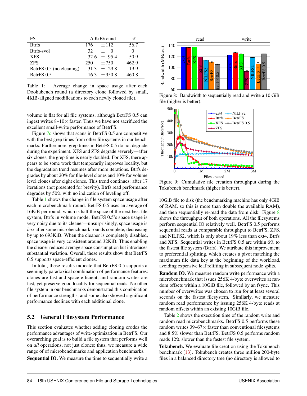<span id="page-10-1"></span>

| FS                       | $\triangle$ KiB/round | σ     |
|--------------------------|-----------------------|-------|
| <b>Btrfs</b>             | $+112$<br>176         | 56.7  |
| Btrfs-svol               | $+ 0$<br>32.          |       |
| <b>XFS</b>               | $32.6 \pm 95.4$       | 50.9  |
| <b>ZFS</b>               | $+750$<br>250.        | 462.9 |
| BetrFS 0.5 (no cleaning) | $31.3 + 29.8$         | 19.9  |
| BetrFS 0.5               | $16.3 + 950.8$        | 460.8 |

Table 1: Average change in space usage after each Dookubench round (a directory clone followed by small, 4KiB-aligned modifications to each newly cloned file).

volume is flat for all file systems, although BetrFS 0.5 can ingest writes  $8-10\times$  faster. Thus we have not sacrificed the excellent small-write performance of BetrFS.

Figure [7c](#page-9-1) shows that scans in BetrFS 0.5 are competitive with the best grep times from other file systems in our benchmarks. Furthermore, grep times in BetrFS 0.5 do not degrade during the experiment. XFS and ZFS degrade severely—after six clones, the grep time is nearly doubled. For XFS, there appears to be some work that temporarily improves locality, but the degradation trend resumes after more iterations. Btrfs degrades by about 20% for file-level clones and 10% for volume level clones after eight clones. This trend continues: after 17 iterations (not presented for brevity), Btrfs read performance degrades by 50% with no indication of leveling off.

Table [1](#page-10-1) shows the change in file system space usage after each microbenchmark round. BetrFS 0.5 uses an average of 16KiB per round, which is half the space of the next best file system, Btrfs in volume mode. BetrFS 0.5's space usage is very noisy due to its cleaner—unsurprisingly, space usage is *less* after some microbenchmark rounds complete, decreasing by up to 693KiB. When the cleaner is completely disabled, space usage is very consistent around 32KiB. Thus enabling the cleaner reduces average space consumption but introduces substantial variation. Overall, these results show that BetrFS 0.5 supports space-efficient clones.

In total, these results indicate that BetrFS 0.5 supports a seemingly paradoxical combination of performance features: clones are fast and space-efficient, and random writes are fast, yet preserve good locality for sequential reads. No other file system in our benchmarks demonstrated this combination of performance strengths, and some also showed significant performance declines with each additional clone.

#### <span id="page-10-0"></span>5.2 General Filesystem Performance

This section evaluates whether adding cloning erodes the performance advantages of write-optimization in BetrFS. Our overarching goal is to build a file system that performs well on *all* operations, not just clones; thus, we measure a wide range of of microbenchmarks and application benchmarks.

Sequential IO. We measure the time to sequentially write a

<span id="page-10-2"></span>

Figure 8: Bandwidth to sequentially read and write a 10 GiB file (higher is better).



Figure 9: Cumulative file creation throughput during the Tokubench benchmark (higher is better).

10GiB file to disk (the benchmarking machine has only 4GiB of RAM, so this is more than double the available RAM), and then sequentially re-read the data from disk. Figure [8](#page-10-2) shows the throughput of both operations. All the filesystems perform sequential IO relatively well. BetrFS 0.5 performs sequential reads at comparable throughput to BetrFS, ZFS, and NILFS2, which is only about 19% less than ext4, Btrfs and XFS. Sequential writes in BetrFS 0.5 are within 6% to the fastest file system (Btrfs). We attribute this improvement to preferential splitting, which creates a pivot matching the maximum file data key at the beginning of the workload, avoiding expensive leaf relifting in subsequent node splits.

Random IO. We measure random write performance with a microbenchmark that issues 256K 4-byte overwrites at random offsets within a 10GiB file, followed by an fsync. This number of overwrites was chosen to run for at least several seconds on the fastest filesystem. Similarly, we measure random read performance by issuing 256K 4-byte reads at random offsets within an existing 10GiB file.

Table [2](#page-11-1) shows the execution time of the random write and random read microbenchmarks. BetrFS 0.5 performs these random writes  $39-67 \times$  faster than conventional filesystems and 8.5% slower than BetrFS. BetrFS 0.5 performs random reads 12% slower than the fastest file system.

Tokubench. We evaluate file creation using the Tokubench benchmark [\[13\]](#page-13-8). Tokubench creates three million 200-byte files in a balanced directory tree (no directory is allowed to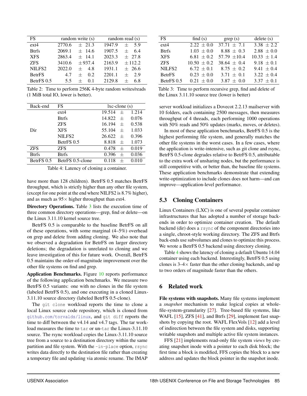<span id="page-11-1"></span>

| FS.                | random write (s)     | random read (s)         |
|--------------------|----------------------|-------------------------|
| $ext{4}$           | 2770.6<br>$+21.3$    | 1947.9<br>5.9<br>$^{+}$ |
| <b>Btrfs</b>       | 2069.1<br>$\pm$ 14.6 | 1907.5<br>$^{+}$<br>6.4 |
| <b>XFS</b>         | 2863.4<br>$+$ 14.1   | 2023.3<br>$+27.8$       |
| <b>ZFS</b>         | $+937.4$<br>3410.6   | 2163.9<br>± 112.2       |
| NILFS <sub>2</sub> | 2022.0<br>4.8<br>$+$ | 1931.1<br>$+26.6$       |
| <b>BetrFS</b>      | 4.7<br>$^{+}$<br>02  | 2201.1<br>2.9<br>$^{+}$ |
| BetrFS 0.5         | 5.5                  | 2129.8<br>6.8<br>$^{+}$ |

Table 2: Time to perform 256K 4-byte random writes/reads (1 MiB total IO, lower is better).

<span id="page-11-2"></span>

| Back-end     | FS                 | $lxc$ -clone $(s)$        |  |  |
|--------------|--------------------|---------------------------|--|--|
|              | $ext{4}$           | 1.214<br>19.514<br>$^{+}$ |  |  |
| Dir          | <b>Btrfs</b>       | 14.822<br>0.076<br>$^{+}$ |  |  |
|              | <b>ZFS</b>         | 0.538<br>16.194<br>$^{+}$ |  |  |
|              | <b>XFS</b>         | 1.033<br>55.104<br>$^{+}$ |  |  |
|              | NILFS <sub>2</sub> | 26.622<br>0.396<br>$^{+}$ |  |  |
|              | BetrFS 0.5         | 1.073<br>8.818<br>$^{+}$  |  |  |
| <b>ZFS</b>   | <b>ZFS</b>         | 0.019<br>0.478<br>$^{+}$  |  |  |
| <b>Btrfs</b> | <b>Btrfs</b>       | 0.036<br>0.396<br>$^{+}$  |  |  |
| BetrFS 0.5   | BetrFS 0.5-clone   | 0.010<br>0.118            |  |  |

Table 4: Latency of cloning a container.

have more than 128 children). BetrFS 0.5 matches BetrFS throughput, which is strictly higher than any other file system, (except for one point at the end where NILFS2 is 8.7% higher), and as much as  $95 \times$  higher throughput than ext4.

Directory Operations. Table [3](#page-11-1) lists the execution time of three common directory operations—grep, find or delete—on the Linux 3.11.10 kernel source tree.

BetrFS 0.5 is comparable to the baseline BetrFS on all of these operations, with some marginal (4–5%) overhead on grep and delete from adding cloning. We also note that we observed a degradation for BetrFS on larger directory deletions; the degradation is unrelated to cloning and we leave investigation of this for future work. Overall, BetrFS 0.5 maintains the order-of-magnitude improvement over the other file systems on find and grep.

Application Benchmarks. Figure [10](#page-12-0) reports performance of the following application benchmarks. We measure two BetrFS 0.5 variants: one with no clones in the file system (labeled BetrFS 0.5), and one executing in a cloned Linux-3.11.10 source directory (labeled BetrFS 0.5-clone).

The git clone workload reports the time to clone a local Linux source code repository, which is cloned from <github.com/torvalds/linux>, and git diff reports the time to diff between the v4.14 and v4.7 tags. The tar workload measures the time to tar or un-tar the Linux-3.11.10 source. The rsync workload copies the Linux-3.11.10 source tree from a source to a destination directory within the same partition and file system. With the -in-place option, rsync writes data directly to the destination file rather than creating a temporary file and updating via atomic rename. The IMAP

| FS.                | find $(s)$      | $\text{grey}(s)$ | delete(s)       |
|--------------------|-----------------|------------------|-----------------|
| $ext{4}$           | $2.22 \pm 0.0$  | $37.71 \pm 7.1$  | $3.38 \pm 2.2$  |
| <b>Btrfs</b>       | $1.03 \pm 0.0$  | $8.88 \pm 0.3$   | $2.88 \pm 0.0$  |
| <b>XFS</b>         | 6.81 $\pm$ 0.2  | 57.79 $\pm 10.4$ | $10.33 \pm 1.4$ |
| <b>ZFS</b>         | $10.50 \pm 0.2$ | $38.64 \pm 0.4$  | $9.18 \pm 0.1$  |
| NILFS <sub>2</sub> | $6.72 \pm 0.1$  | $8.75 \pm 0.2$   | $9.41 \pm 0.4$  |
| <b>BetrFS</b>      | $0.23 \pm 0.0$  | $3.71 \pm 0.1$   | $3.22 \pm 0.4$  |
| BetrFS 0.5         | $0.21 \pm 0.0$  | $3.87 \pm 0.0$   | $3.37 \pm 0.1$  |

Table 3: Time to perform recursive grep, find and delete of the Linux 3.11.10 source tree (lower is better)

server workload initializes a Dovecot 2.2.13 mailserver with 10 folders, each containing 2500 messages, then measures throughput of 4 threads, each performing 1000 operations with 50% reads and 50% updates (marks, moves, or deletes).

In most of these application benchmarks, BetrFS 0.5 is the highest performing file system, and generally matches the other file systems in the worst cases. In a few cases, where the application is write-intensive, such as git clone and rsync, BetrFS 0.5-clone degrades relative to BetrFS 0.5, attributable to the extra work of unsharing nodes, but the performance is still competitive with, or better than, the baseline file systems. These application benchmarks demonstrate that extending write-optimization to include clones does not harm—and can improve—application-level performance.

### <span id="page-11-0"></span>5.3 Cloning Containers

Linux Containers (LXC) is one of several popular container infrastructures that has adopted a number of storage backends in order to optimize container creation. The default backend (dir) does a rsync of the component directories into a single, chroot-style working directory. The ZFS and Btrfs back-ends use subvolumes and clones to optimize this process. We wrote a BetrFS 0.5 backend using directory cloning.

Table [4](#page-11-2) shows the latency of cloning a default Ubuntu 14.04 container using each backend. Interestingly, BetrFS 0.5 using clones is  $3-4\times$  faster than the other cloning backends, and up to two orders of magnitude faster than the others.

# 6 Related work

File systems with snapshots. Many file systems implement a *snapshot* mechanism to make logical copies at wholefile-system-granularity [\[27\]](#page-14-10). Tree-based file systems, like WAFL [\[15\]](#page-13-9), ZFS [\[41\]](#page-14-11), and Btrfs [\[29\]](#page-14-5), implement fast snapshots by copying the root. WAFL FlexVols [\[12\]](#page-13-10) add a level of indirection between the file system and disks, supporting writable snapshots and multiple active file system instances.

FFS [\[21\]](#page-14-12) implements read-only file system *views* by creating snapshot inode with a pointer to each disk block; the first time a block is modified, FFS copies the block to a new address and updates the block pointer in the snapshot inode.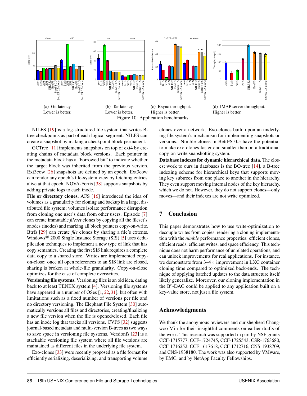<span id="page-12-0"></span>

NILFS [\[19\]](#page-13-11) is a log-structured file system that writes Btree checkpoints as part of each logical segment. NILFS can create a snapshot by making a checkpoint block permanent.

GCTree [\[11\]](#page-13-12) implements snapshots on top of ext4 by creating chains of metadata block versions. Each pointer in the metadata block has a "borrowed bit" to indicate whether the target block was inherited from the previous version. Ext3cow [\[26\]](#page-14-13) snapshots are defined by an epoch. Ext3cow can render any epoch's file-system view by fetching entries alive at that epoch. NOVA-Fortis [\[38\]](#page-14-14) supports snapshots by adding private logs to each inode.

File or directory clones. AFS [\[16\]](#page-13-13) introduced the idea of volumes as a granularity for cloning and backup in a large, distributed file system; volumes isolate performance disruption from cloning one user's data from other users. Episode [\[7\]](#page-13-14) can create immutable *fileset* clones by copying all the fileset's anodes (inodes) and marking all block pointers copy-on-write. Btrfs [\[29\]](#page-14-5) can create *file* clones by sharing a file's extents. Windows<sup>®</sup> 2000 Single Instance Storage (SIS) [\[5\]](#page-13-15) uses deduplication techniques to implement a new type of link that has copy semantics. Creating the first SIS link requires a complete data copy to a shared store. Writes are implemented copyon-close: once all open references to an SIS link are closed, sharing is broken at whole-file granularity. Copy-on-close optimizes for the case of complete overwrites.

Versioning file systems. Versioning files is an old idea, dating back to at least TENEX system [\[4\]](#page-13-16). Versioning file systems have appeared in a number of OSes [\[1,](#page-13-17) [22,](#page-14-15) [31\]](#page-14-16), but often with limitations such as a fixed number of versions per file and no directory versioning. The Elephant File System [\[30\]](#page-14-17) automatically versions all files and directories, creating/finalizing a new file version when the file is opened/closed. Each file has an inode log that tracks all versions. CVFS [\[32\]](#page-14-18) suggests journal-based metadata and multi-version B-trees as two ways to save space in versioning file systems. Versionfs [\[23\]](#page-14-19) is a stackable versioning file system where all file versions are maintained as different files in the underlying file system.

Exo-clones [\[33\]](#page-14-20) were recently proposed as a file format for efficiently serializing, deserializing, and transporting volume

clones over a network. Exo-clones build upon an underlying file system's mechanism for implementing snapshots or versions. Nimble clones in BetrFS 0.5 have the potential to make exo-clones faster and smaller than on a traditional copy-on-write snapshotting system.

Database indexes for dynamic hierarchical data. The closest work to ours in databases is the BO-tree [\[14\]](#page-13-18), a B-tree indexing scheme for hierarchical keys that supports moving key subtrees from one place to another in the hierarchy. They even support moving internal nodes of the key hierarchy, which we do not. However, they do not support clones—only moves—and their indexes are not write optimized.

#### 7 Conclusion

This paper demonstrates how to use write-optimization to decouple writes from copies, rendering a cloning implementation with the *nimble* performance properties: efficient clones, efficient reads, efficient writes, and space efficiency. This technique does not harm performance of unrelated operations, and can unlock improvements for real applications. For instance, we demonstrate from  $3-4\times$  improvement in LXC container cloning time compared to optimized back-ends. The technique of applying batched updates to the data structure itself likely generalize. Moreover, our cloning implementation in the  $B^{\epsilon}$ -DAG could be applied to any application built on a key-value store, not just a file system.

#### Acknowledgments

We thank the anonymous reviewers and our shepherd Changwoo Min for their insightful comments on earlier drafts of the work. This research was supported in part by NSF grants CCF-1715777, CCF-1724745, CCF-1725543, CSR-1763680, CCF-1716252, CCF-1617618, CCF-1712716, CNS-1938709, and CNS-1938180. The work was also supported by VMware, by EMC, and by NetApp Faculty Fellowships.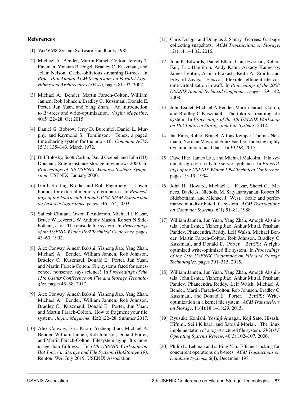## References

- <span id="page-13-17"></span>[1] Vax/VMS System Software Handbook, 1985.
- <span id="page-13-6"></span>[2] Michael A. Bender, Martin Farach-Colton, Jeremy T. Fineman, Yonatan R. Fogel, Bradley C. Kuszmaul, and Jelani Nelson. Cache-oblivious streaming B-trees. In *Proc. 19th Annual ACM Symposium on Parallel Algorithms and Architectures (SPAA)*, pages 81–92, 2007.
- <span id="page-13-3"></span>[3] Michael A. Bender, Martin Farach-Colton, William Jannen, Rob Johnson, Bradley C. Kuszmaul, Donald E. Porter, Jun Yuan, and Yang Zhan. An introduction to B<sup>ε</sup> -trees and write-optimization. *:login; Magazine*, 40(5):22–28, Oct 2015.
- <span id="page-13-16"></span>[4] Daniel G. Bobrow, Jerry D. Burchfiel, Daniel L. Murphy, and Raymond S. Tomlinson. Tenex, a paged time sharing system for the pdp - 10. *Commun. ACM*, 15(3):135–143, March 1972.
- <span id="page-13-15"></span>[5] Bill Bolosky, Scott Corbin, David Goebel, and John (JD) Douceur. Single instance storage in windows 2000. In *Proceedings of 4th USENIX Windows Systems Symposium*. USENIX, January 2000.
- <span id="page-13-4"></span>[6] Gerth Stolting Brodal and Rolf Fagerberg. Lower bounds for external memory dictionaries. In *Proceedings of the Fourteenth Annual ACM-SIAM Symposium on Discrete Algorithms*, pages 546–554, 2003.
- <span id="page-13-14"></span>[7] Sailesh Chutani, Owen T Anderson, Michael L Kazar, Bruce W Leverett, W Anthony Mason, Robert N Sidebotham, et al. The episode file system. In *Proceedings of the USENIX Winter 1992 Technical Conference*, pages 43–60, 1992.
- <span id="page-13-0"></span>[8] Alex Conway, Ainesh Bakshi, Yizheng Jiao, Yang Zhan, Michael A. Bender, William Jannen, Rob Johnson, Bradley C. Kuszmaul, Donald E. Porter, Jun Yuan, and Martin Farach-Colton. File systems fated for senescence? nonsense, says science! In *Proceedings of the 15th Usenix Conference on File and Storage Technologies*, pages 45–58, 2017.
- [9] Alex Conway, Ainesh Bakshi, Yizheng Jiao, Yang Zhan, Michael A. Bender, William Jannen, Rob Johnson, Bradley C. Kuszmaul, Donald E. Porter, Jun Yuan, and Martin Farach-Colton. How to fragment your file system. *:login; Magazine*, 42(2):22–28, Summer 2017.
- <span id="page-13-1"></span>[10] Alex Conway, Eric Knorr, Yizheng Jiao, Michael A. Bender, William Jannen, Rob Johnson, Donald Porter, and Martin Farach-Colton. Filesystem aging: It's more usage than fullness. In *11th USENIX Workshop on Hot Topics in Storage and File Systems (HotStorage 19)*, Renton, WA, July 2019. USENIX Association.
- <span id="page-13-12"></span>[11] Chris Dragga and Douglas J. Santry. Getrees: Garbage collecting snapshots. *ACM Transactions on Storage*, 12(1):4:1–4:32, 2016.
- <span id="page-13-10"></span>[12] John K. Edwards, Daniel Ellard, Craig Everhart, Robert Fair, Eric Hamilton, Andy Kahn, Arkady Kanevsky, James Lentini, Ashish Prakash, Keith A. Smith, and Edward Zayas. Flexvol: Flexible, efficient file volume virtualization in wafl. In *Proceedings of the 2008 USENIX Annual Technical Conference*, pages 129–142, 2008.
- <span id="page-13-8"></span>[13] John Esmet, Michael A Bender, Martin Farach-Colton, and Bradley C Kuszmaul. The tokufs streaming file system. In *Proceedings of the 4th USENIX Workshop on Hot Topics in Storage and File Systems*, 2012.
- <span id="page-13-18"></span>[14] Jan Finis, Robert Brunel, Alfons Kemper, Thomas Neumann, Norman May, and Franz Faerber. Indexing highly dynamic hierarchical data. In *VLDB*, 2015.
- <span id="page-13-9"></span>[15] Dave Hitz, James Lau, and Michael Malcolm. File system design for an nfs file server appliance. In *Proceedings of the USENIX Winter 1994 Technical Conference*, pages 19–19, 1994.
- <span id="page-13-13"></span>[16] John H. Howard, Michael L. Kazar, Sherri G. Menees, David A. Nichols, M. Satyanarayanan, Robert N. Sidebotham, and Michael J. West. Scale and performance in a distributed file system. *ACM Transactions on Computer Systems*, 6(1):51–81, 1988.
- <span id="page-13-2"></span>[17] William Jannen, Jun Yuan, Yang Zhan, Amogh Akshintala, John Esmet, Yizheng Jiao, Ankur Mittal, Prashant Pandey, Phaneendra Reddy, Leif Walsh, Michael Bender, Martin Farach-Colton, Rob Johnson, Bradley C. Kuszmaul, and Donald E. Porter. BetrFS: A rightoptimized write-optimized file system. In *Proceedings of the 13th USENIX Conference on File and Storage Technologies*, pages 301–315, 2015.
- <span id="page-13-5"></span>[18] William Jannen, Jun Yuan, Yang Zhan, Amogh Akshintala, John Esmet, Yizheng Jiao, Ankur Mittal, Prashant Pandey, Phaneendra Reddy, Leif Walsh, Michael A. Bender, Martin Farach-Colton, Rob Johnson, Bradley C. Kuszmaul, and Donald E. Porter. BetrFS: Writeoptimization in a kernel file system. *ACM Transactions on Storage*, 11(4):18:1–18:29, 2015.
- <span id="page-13-11"></span>[19] Ryusuke Konishi, Yoshiji Amagai, Koji Sato, Hisashi Hifumi, Seiji Kihara, and Satoshi Moriai. The linux implementation of a log-structured file system. *SIGOPS Operating Systems Review*, 40(3):102–107, 2006.
- <span id="page-13-7"></span>[20] Philip L. Lehman and s. Bing Yao. Efficient locking for concurrent operations on b-trees. *ACM Transactions on Database Systems*, 6(4), December 1981.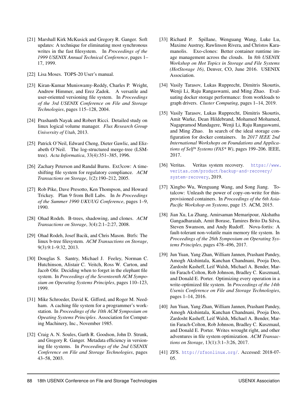- <span id="page-14-12"></span>[21] Marshall Kirk McKusick and Gregory R. Ganger. Soft updates: A technique for eliminating most synchronous writes in the fast filesystem. In *Proceedings of the 1999 USENIX Annual Technical Conference*, pages 1– 17, 1999.
- <span id="page-14-15"></span>[22] Lisa Moses. TOPS-20 User's manual.
- <span id="page-14-19"></span>[23] Kiran-Kumar Muniswamy-Reddy, Charles P. Wright, Andrew Himmer, and Erez Zadok. A versatile and user-oriented versioning file system. In *Proceedings of the 3rd USENIX Conference on File and Storage Technologies*, pages 115–128, 2004.
- <span id="page-14-4"></span>[24] Prashanth Nayak and Robert Ricci. Detailed study on linux logical volume manager. *Flux Research Group University of Utah*, 2013.
- <span id="page-14-8"></span>[25] Patrick O'Neil, Edward Cheng, Dieter Gawlic, and Elizabeth O'Neil. The log-structured merge-tree (LSMtree). *Acta Informatica*, 33(4):351–385, 1996.
- <span id="page-14-13"></span>[26] Zachary Peterson and Randal Burns. Ext3cow: A timeshifting file system for regulatory compliance. *ACM Transactions on Storage*, 1(2):190–212, 2005.
- <span id="page-14-10"></span>[27] Rob Pike, Dave Presotto, Ken Thompson, and Howard Trickey. Plan 9 from Bell Labs. In *In Proceedings of the Summer 1990 UKUUG Conference*, pages 1–9, 1990.
- <span id="page-14-9"></span>[28] Ohad Rodeh. B-trees, shadowing, and clones. *ACM Transactions on Storage*, 3(4):2:1–2:27, 2008.
- <span id="page-14-5"></span>[29] Ohad Rodeh, Josef Bacik, and Chris Mason. Btrfs: The linux b-tree filesystem. *ACM Transactions on Storage*, 9(3):9:1–9:32, 2013.
- <span id="page-14-17"></span>[30] Douglas S. Santry, Michael J. Feeley, Norman C. Hutchinson, Alistair C. Veitch, Ross W. Carton, and Jacob Ofir. Deciding when to forget in the elephant file system. In *Proceedings of the Seventeenth ACM Symposium on Operating Systems Principles*, pages 110–123, 1999.
- <span id="page-14-16"></span>[31] Mike Schroeder, David K. Gifford, and Roger M. Needham. A caching file system for a programmer's workstation. In *Proceedings of the 10th ACM Symposium on Opeating Systems Principles*. Association for Computing Machinery, Inc., November 1985.
- <span id="page-14-18"></span>[32] Craig A. N. Soules, Garth R. Goodson, John D. Strunk, and Gregory R. Ganger. Metadata efficiency in versioning file systems. In *Proceedings of the 2nd USENIX Conference on File and Storage Technologies*, pages 43–58, 2003.
- <span id="page-14-20"></span>[33] Richard P. Spillane, Wenguang Wang, Luke Lu, Maxime Austruy, Rawlinson Rivera, and Christos Karamanolis. Exo-clones: Better container runtime image management across the clouds. In *8th USENIX Workshop on Hot Topics in Storage and File Systems (HotStorage 16)*, Denver, CO, June 2016. USENIX Association.
- <span id="page-14-1"></span>[34] Vasily Tarasov, Lukas Rupprecht, Dimitris Skourtis, Wenji Li, Raju Rangaswami, and Ming Zhao. Evaluating docker storage performance: from workloads to graph drivers. *Cluster Computing*, pages 1–14, 2019.
- <span id="page-14-2"></span>[35] Vasily Tarasov, Lukas Rupprecht, Dimitris Skourtis, Amit Warke, Dean Hildebrand, Mohamed Mohamed, Nagapramod Mandagere, Wenji Li, Raju Rangaswami, and Ming Zhao. In search of the ideal storage configuration for docker containers. In *2017 IEEE 2nd International Workshops on Foundations and Applications of Self\* Systems (FAS\* W)*, pages 199–206. IEEE, 2017.
- <span id="page-14-0"></span>[36] Veritas. Veritas system recovery. [https://www.](https://www.veritas.com/product/backup-and-recovery/system-recovery) [veritas.com/product/backup-and-recovery/](https://www.veritas.com/product/backup-and-recovery/system-recovery) [system-recovery](https://www.veritas.com/product/backup-and-recovery/system-recovery), 2019.
- <span id="page-14-3"></span>[37] Xingbo Wu, Wenguang Wang, and Song Jiang. Totalcow: Unleash the power of copy-on-write for thinprovisioned containers. In *Proceedings of the 6th Asia-Pacific Workshop on Systems*, page 15. ACM, 2015.
- <span id="page-14-14"></span>[38] Jian Xu, Lu Zhang, Amirsaman Memaripour, Akshatha Gangadharaiah, Amit Borase, Tamires Brito Da Silva, Steven Swanson, and Andy Rudoff. Nova-fortis: A fault-tolerant non-volatile main memory file system. In *Proceedings of the 26th Symposium on Operating Systems Principles*, pages 478–496, 2017.
- <span id="page-14-6"></span>[39] Jun Yuan, Yang Zhan, William Jannen, Prashant Pandey, Amogh Akshintala, Kanchan Chandnani, Pooja Deo, Zardosht Kasheff, Leif Walsh, Michael A. Bender, Martin Farach-Colton, Rob Johnson, Bradley C. Kuszmaul, and Donald E. Porter. Optimizing every operation in a write-optimized file system. In *Proceedings of the 14th Usenix Conference on File and Storage Technologies*, pages 1–14, 2016.
- <span id="page-14-7"></span>[40] Jun Yuan, Yang Zhan, William Jannen, Prashant Pandey, Amogh Akshintala, Kanchan Chandnani, Pooja Deo, Zardosht Kasheff, Leif Walsh, Michael A. Bender, Martin Farach-Colton, Rob Johnson, Bradley C. Kuszmaul, and Donald E. Porter. Writes wrought right, and other adventures in file system optimization. *ACM Transactions on Storage*, 13(1):3:1–3:26, 2017.
- <span id="page-14-11"></span>[41] ZFS. <http://zfsonlinux.org/>. Accessed: 2018-07- 05.